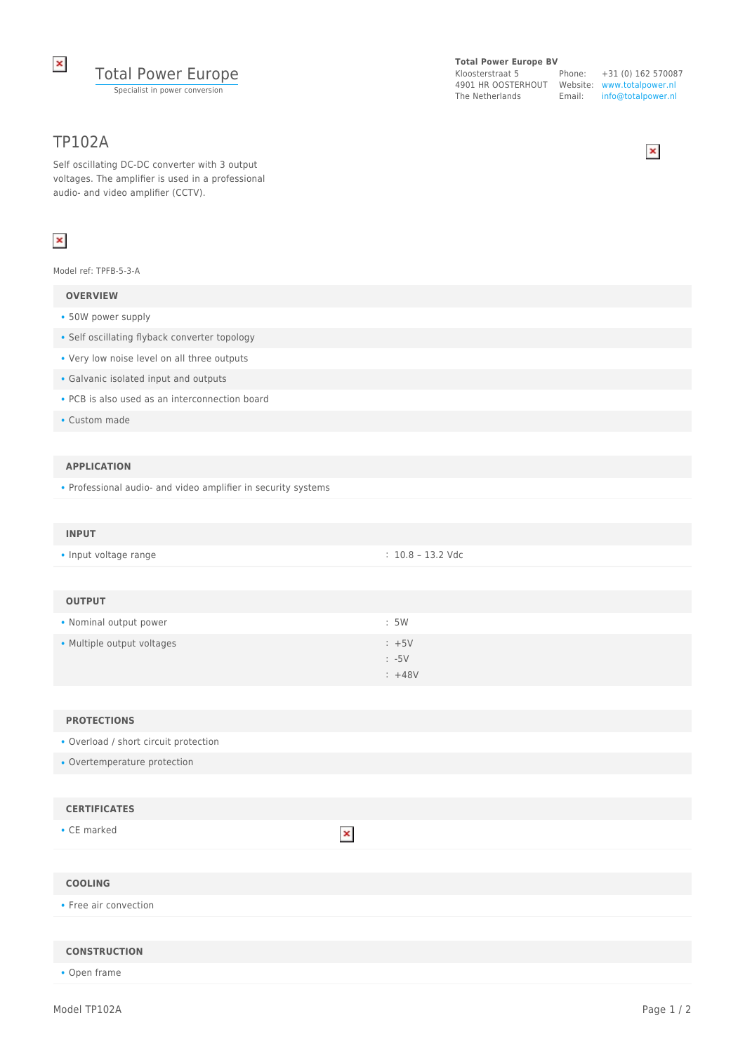

# TP102A

Self oscillating DC-DC converter with 3 output voltages. The amplifier is used in a professional audio- and video amplifier (CCTV).

# $\pmb{\times}$

Model ref: TPFB-5-3-A

## **OVERVIEW**

- 50W power supply
- Self oscillating flyback converter topology
- Very low noise level on all three outputs
- Galvanic isolated input and outputs
- PCB is also used as an interconnection board
- Custom made

### **APPLICATION**

• Professional audio- and video amplifier in security systems

| : 10.8 – 13.2 Vdc | <b>INPUT</b>          |  |
|-------------------|-----------------------|--|
|                   | • Input voltage range |  |

| <b>OUTPUT</b>              |                  |
|----------------------------|------------------|
| • Nominal output power     | :5W              |
| • Multiple output voltages | $: +5V$          |
|                            | $\therefore -5V$ |
|                            | $: +48V$         |

 $\pmb{\times}$ 

#### **PROTECTIONS**

- Overload / short circuit protection
- Overtemperature protection

## **CERTIFICATES**

• CE marked

## **COOLING**

• Free air convection

#### **CONSTRUCTION**

• Open frame

### **Total Power Europe BV**

Kloosterstraat 5 4901 HR OOSTERHOUT Website: www.totalpower.nl The Netherlands Email:

Phone: +31 (0) 162 570087 info@totalpower.nl